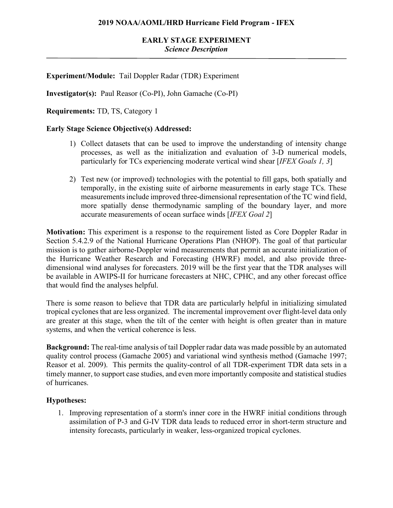# **Experiment/Module:** Tail Doppler Radar (TDR) Experiment

**Investigator(s):** Paul Reasor (Co-PI), John Gamache (Co-PI)

**Requirements:** TD, TS, Category 1

### **Early Stage Science Objective(s) Addressed:**

- 1) Collect datasets that can be used to improve the understanding of intensity change processes, as well as the initialization and evaluation of 3-D numerical models, particularly for TCs experiencing moderate vertical wind shear [*IFEX Goals 1, 3*]
- 2) Test new (or improved) technologies with the potential to fill gaps, both spatially and temporally, in the existing suite of airborne measurements in early stage TCs. These measurements include improved three-dimensional representation of the TC wind field, more spatially dense thermodynamic sampling of the boundary layer, and more accurate measurements of ocean surface winds [*IFEX Goal 2*]

**Motivation:** This experiment is a response to the requirement listed as Core Doppler Radar in Section 5.4.2.9 of the National Hurricane Operations Plan (NHOP). The goal of that particular mission is to gather airborne-Doppler wind measurements that permit an accurate initialization of the Hurricane Weather Research and Forecasting (HWRF) model, and also provide threedimensional wind analyses for forecasters. 2019 will be the first year that the TDR analyses will be available in AWIPS-II for hurricane forecasters at NHC, CPHC, and any other forecast office that would find the analyses helpful.

There is some reason to believe that TDR data are particularly helpful in initializing simulated tropical cyclones that are less organized. The incremental improvement over flight-level data only are greater at this stage, when the tilt of the center with height is often greater than in mature systems, and when the vertical coherence is less.

**Background:** The real-time analysis of tail Doppler radar data was made possible by an automated quality control process (Gamache 2005) and variational wind synthesis method (Gamache 1997; Reasor et al. 2009). This permits the quality-control of all TDR-experiment TDR data sets in a timely manner, to support case studies, and even more importantly composite and statistical studies of hurricanes.

### **Hypotheses:**

1. Improving representation of a storm's inner core in the HWRF initial conditions through assimilation of P-3 and G-IV TDR data leads to reduced error in short-term structure and intensity forecasts, particularly in weaker, less-organized tropical cyclones.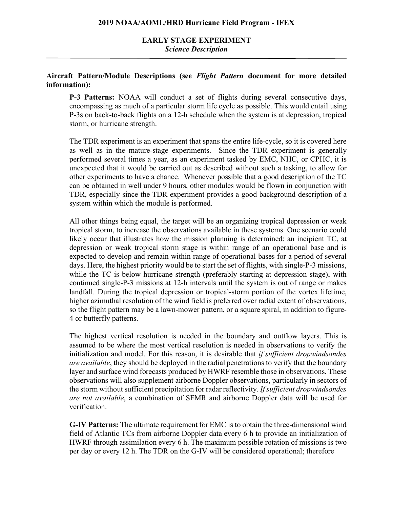# **EARLY STAGE EXPERIMENT** *Science Description*

## **Aircraft Pattern/Module Descriptions (see** *Flight Pattern* **document for more detailed information):**

**P-3 Patterns:** NOAA will conduct a set of flights during several consecutive days, encompassing as much of a particular storm life cycle as possible. This would entail using P-3s on back-to-back flights on a 12-h schedule when the system is at depression, tropical storm, or hurricane strength.

The TDR experiment is an experiment that spans the entire life-cycle, so it is covered here as well as in the mature-stage experiments. Since the TDR experiment is generally performed several times a year, as an experiment tasked by EMC, NHC, or CPHC, it is unexpected that it would be carried out as described without such a tasking, to allow for other experiments to have a chance. Whenever possible that a good description of the TC can be obtained in well under 9 hours, other modules would be flown in conjunction with TDR, especially since the TDR experiment provides a good background description of a system within which the module is performed.

All other things being equal, the target will be an organizing tropical depression or weak tropical storm, to increase the observations available in these systems. One scenario could likely occur that illustrates how the mission planning is determined: an incipient TC, at depression or weak tropical storm stage is within range of an operational base and is expected to develop and remain within range of operational bases for a period of several days. Here, the highest priority would be to start the set of flights, with single-P-3 missions, while the TC is below hurricane strength (preferably starting at depression stage), with continued single-P-3 missions at 12-h intervals until the system is out of range or makes landfall. During the tropical depression or tropical-storm portion of the vortex lifetime, higher azimuthal resolution of the wind field is preferred over radial extent of observations, so the flight pattern may be a lawn-mower pattern, or a square spiral, in addition to figure-4 or butterfly patterns.

The highest vertical resolution is needed in the boundary and outflow layers. This is assumed to be where the most vertical resolution is needed in observations to verify the initialization and model. For this reason, it is desirable that *if sufficient dropwindsondes are available*, they should be deployed in the radial penetrations to verify that the boundary layer and surface wind forecasts produced by HWRF resemble those in observations. These observations will also supplement airborne Doppler observations, particularly in sectors of the storm without sufficient precipitation for radar reflectivity. *If sufficient dropwindsondes are not available*, a combination of SFMR and airborne Doppler data will be used for verification.

**G-IV Patterns:** The ultimate requirement for EMC is to obtain the three-dimensional wind field of Atlantic TCs from airborne Doppler data every 6 h to provide an initialization of HWRF through assimilation every 6 h. The maximum possible rotation of missions is two per day or every 12 h. The TDR on the G-IV will be considered operational; therefore